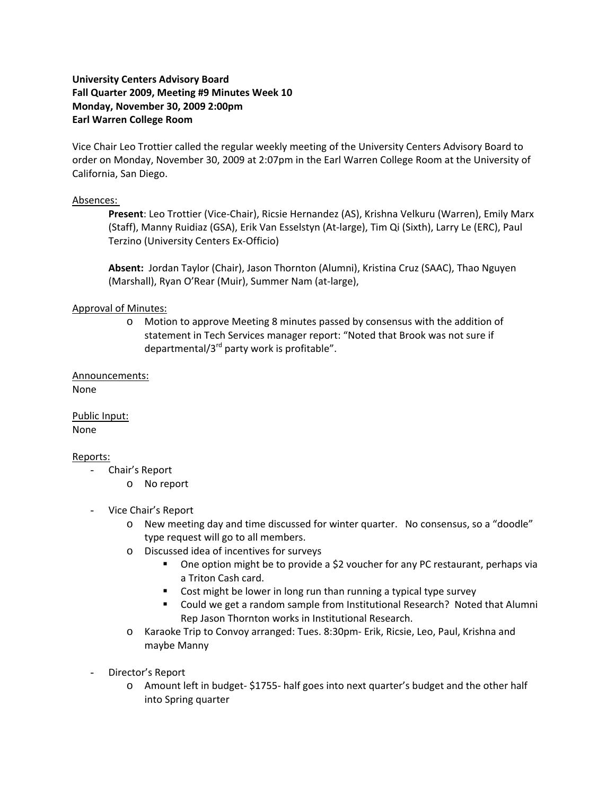# **University Centers Advisory Board Fall Quarter 2009, Meeting #9 Minutes Week 10 Monday, November 30, 2009 2:00pm Earl Warren College Room**

Vice Chair Leo Trottier called the regular weekly meeting of the University Centers Advisory Board to order on Monday, November 30, 2009 at 2:07pm in the Earl Warren College Room at the University of California, San Diego.

### Absences:

**Present**: Leo Trottier (Vice‐Chair), Ricsie Hernandez (AS), Krishna Velkuru (Warren), Emily Marx (Staff), Manny Ruidiaz (GSA), Erik Van Esselstyn (At‐large), Tim Qi (Sixth), Larry Le (ERC), Paul Terzino (University Centers Ex‐Officio)

**Absent:** Jordan Taylor (Chair), Jason Thornton (Alumni), Kristina Cruz (SAAC), Thao Nguyen (Marshall), Ryan O'Rear (Muir), Summer Nam (at‐large),

## Approval of Minutes:

o Motion to approve Meeting 8 minutes passed by consensus with the addition of statement in Tech Services manager report: "Noted that Brook was not sure if departmental/ $3^{rd}$  party work is profitable".

Announcements: None

Public Input: None

### Reports:

- Chair's Report
	- o No report
- Vice Chair's Report
	- o New meeting day and time discussed for winter quarter. No consensus, so a "doodle" type request will go to all members.
	- o Discussed idea of incentives for surveys
		- One option might be to provide a \$2 voucher for any PC restaurant, perhaps via a Triton Cash card.
		- **Cost might be lower in long run than running a typical type survey**
		- Could we get a random sample from Institutional Research? Noted that Alumni Rep Jason Thornton works in Institutional Research.
	- o Karaoke Trip to Convoy arranged: Tues. 8:30pm‐ Erik, Ricsie, Leo, Paul, Krishna and maybe Manny
- Director's Report
	- o Amount left in budget‐ \$1755‐ half goes into next quarter's budget and the other half into Spring quarter